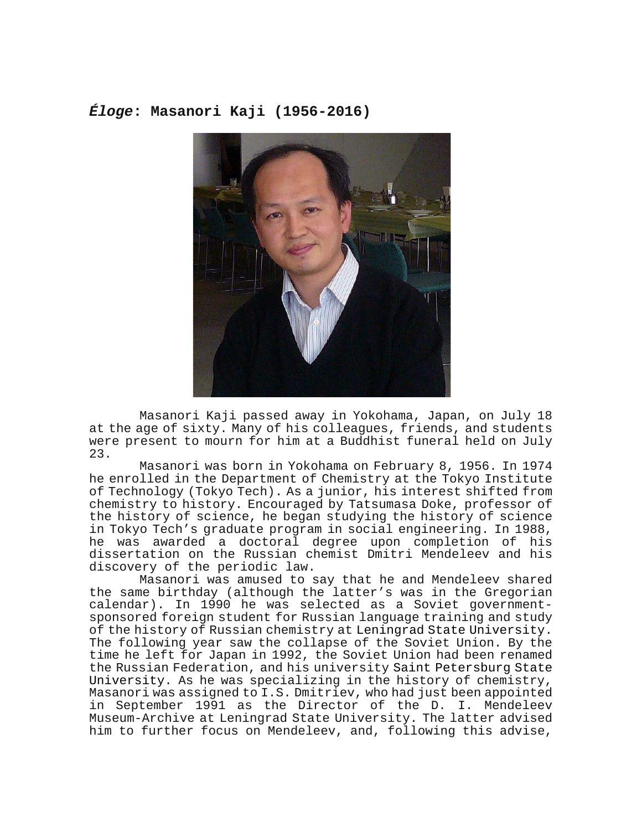## *Éloge***: Masanori Kaji (1956-2016)**



Masanori Kaji passed away in Yokohama, Japan, on July 18 at the age of sixty. Many of his colleagues, friends, and students were present to mourn for him at a Buddhist funeral held on July 23.

Masanori was born in Yokohama on February 8, 1956. In 1974 he enrolled in the Department of Chemistry at the Tokyo Institute of Technology (Tokyo Tech). As a junior, his interest shifted from chemistry to history. Encouraged by Tatsumasa Doke, professor of the history of science, he began studying the history of science in Tokyo Tech's graduate program in social engineering. In 1988, he was awarded a doctoral degree upon completion of his dissertation on the Russian chemist Dmitri Mendeleev and his discovery of the periodic law.

Masanori was amused to say that he and Mendeleev shared the same birthday (although the latter's was in the Gregorian calendar). In 1990 he was selected as a Soviet governmentsponsored foreign student for Russian language training and study<br>of the history of Russian chemistry at Leningrad State University. The following year saw the collapse of the Soviet Union. By the time he left for Japan in 1992, the Soviet Union had been renamed the Russian Federation, and his university Saint Petersburg State University. As he was specializing in the history of chemistry, Masanori was assigned to I.S. Dmitriev, who had just been appointed in September 1991 as the Director of the D. I. Mendeleev Museum-Archive at Leningrad State University. The latter advised him to further focus on Mendeleev, and, following this advise,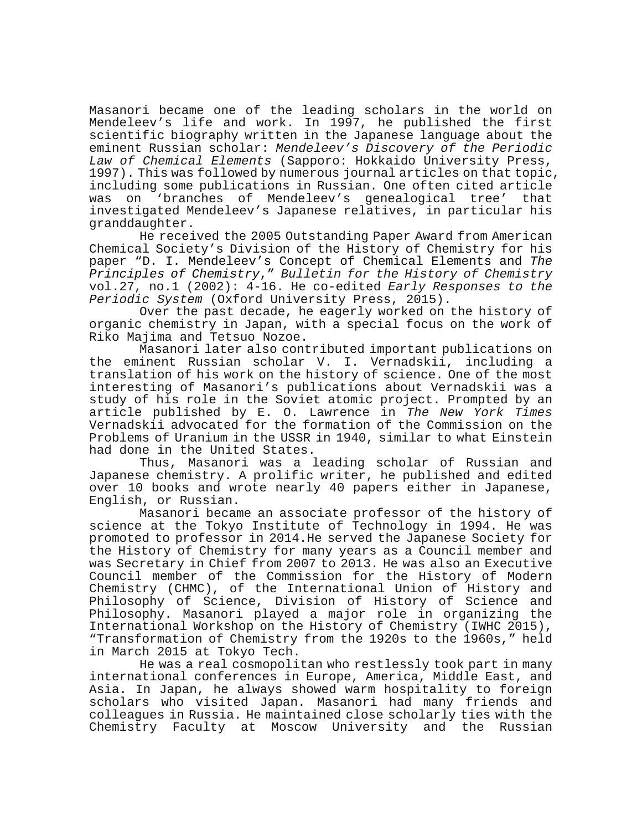Masanori became one of the leading scholars in the world on Mendeleev's life and work. In 1997, he published the first scientific biography written in the Japanese language about the eminent Russian scholar: *Mendeleev's Discovery of the Periodic Law of Chemical Elements* (Sapporo: Hokkaido University Press, 1997). This was followed by numerous journal articles on that topic, including some publications in Russian. One often cited article was on 'branches of Mendeleev's genealogical tree' investigated Mendeleev's Japanese relatives, in particular his granddaughter.

He received the 2005 Outstanding Paper Award from American Chemical Society's Division of the History of Chemistry for his paper "D. I. Mendeleev's Concept of Chemical Elements and *The Principles of Chemistry*," *Bulletin for the History of Chemistry* vol.27, no.1 (2002): 4-16. He co-edited *Early Responses to the Periodic System* (Oxford University Press, 2015).

Over the past decade, he eagerly worked on the history of organic chemistry in Japan, with a special focus on the work of Riko Majima and Tetsuo Nozoe.

Masanori later also contributed important publications on the eminent Russian scholar V. I. Vernadskii, including a translation of his work on the history of science. One of the most interesting of Masanori's publications about Vernadskii was a study of his role in the Soviet atomic project. Prompted by an article published by E. O. Lawrence in *The New York Times* Vernadskii advocated for the formation of the Commission on the Problems of Uranium in the USSR in 1940, similar to what Einstein had done in the United States.

Thus, Masanori was a leading scholar of Russian and Japanese chemistry. A prolific writer, he published and edited over 10 books and wrote nearly 40 papers either in Japanese, English, or Russian.

Masanori became an associate professor of the history of science at the Tokyo Institute of Technology in 1994. He was promoted to professor in 2014.He served the Japanese Society for the History of Chemistry for many years as a Council member and was Secretary in Chief from 2007 to 2013. He was also an Executive Council member of the Commission for the History of Modern Chemistry (CHMC), of the International Union of History and Philosophy of Science, Division of History of Science and Philosophy. Masanori played a major role in organizing the International Workshop on the History of Chemistry (IWHC 2015), "Transformation of Chemistry from the 1920s to the 1960s," held in March 2015 at Tokyo Tech.

He was a real cosmopolitan who restlessly took part in many international conferences in Europe, America, Middle East, and Asia. In Japan, he always showed warm hospitality to foreign scholars who visited Japan. Masanori had many friends and colleagues in Russia. He maintained close scholarly ties with the Chemistry Faculty at Moscow University and the Russian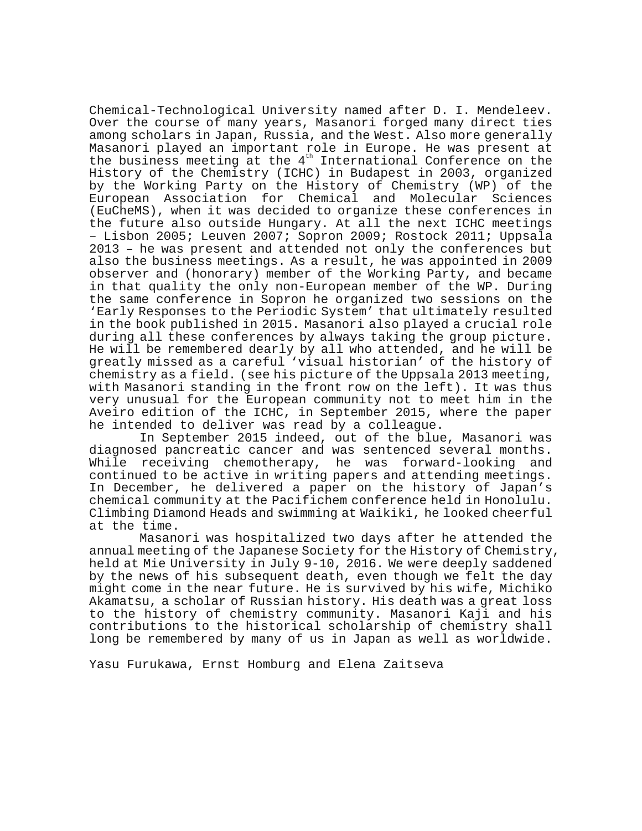Chemical-Technological University named after D. I. Mendeleev. Over the course of many years, Masanori forged many direct ties among scholars in Japan, Russia, and the West. Also more generally Masanori played an important role in Europe. He was present at the business meeting at the 4<sup>th</sup> International Conference on the History of the Chemistry (ICHC) in Budapest in 2003, organized by the Working Party on the History of Chemistry (WP) of the European Association for Chemical and Molecular Sciences (EuCheMS), when it was decided to organize these conferences in the future also outside Hungary. At all the next ICHC meetings – Lisbon 2005; Leuven 2007; Sopron 2009; Rostock 2011; Uppsala 2013 – he was present and attended not only the conferences but also the business meetings. As a result, he was appointed in 2009 observer and (honorary) member of the Working Party, and became in that quality the only non-European member of the WP. During the same conference in Sopron he organized two sessions on the 'Early Responses to the Periodic System' that ultimately resulted in the book published in 2015. Masanori also played a crucial role during all these conferences by always taking the group picture. He will be remembered dearly by all who attended, and he will be greatly missed as a careful 'visual historian' of the history of chemistry as a field. (see his picture of the Uppsala 2013 meeting, with Masanori standing in the front row on the left). It was thus very unusual for the European community not to meet him in the Aveiro edition of the ICHC, in September 2015, where the paper he intended to deliver was read by a colleague.

In September 2015 indeed, out of the blue, Masanori was diagnosed pancreatic cancer and was sentenced several months. While receiving chemotherapy, he was forward-looking and continued to be active in writing papers and attending meetings. In December, he delivered a paper on the history of Japan's chemical community at the Pacifichem conference held in Honolulu. Climbing Diamond Heads and swimming at Waikiki, he looked cheerful at the time.

Masanori was hospitalized two days after he attended the annual meeting of the Japanese Society for the History of Chemistry, held at Mie University in July 9-10, 2016. We were deeply saddened by the news of his subsequent death, even though we felt the day might come in the near future. He is survived by his wife, Michiko Akamatsu, a scholar of Russian history. His death was a great loss to the history of chemistry community. Masanori Kaji and his contributions to the historical scholarship of chemistry shall long be remembered by many of us in Japan as well as worldwide.

Yasu Furukawa, Ernst Homburg and Elena Zaitseva